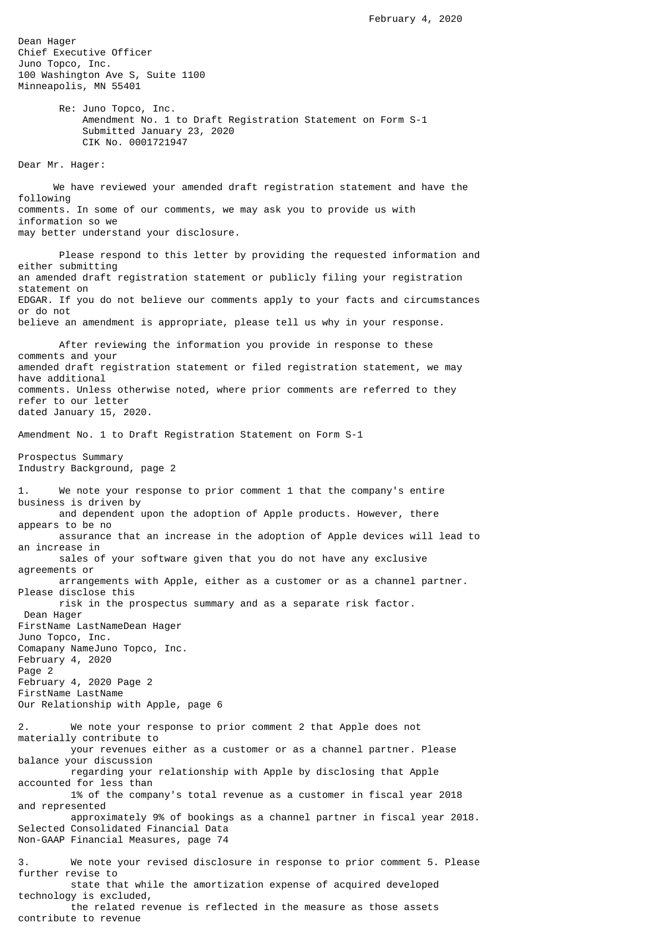Dean Hager Chief Executive Officer Juno Topco, Inc. 100 Washington Ave S, Suite 1100 Minneapolis, MN 55401

> Re: Juno Topco, Inc. Amendment No. 1 to Draft Registration Statement on Form S-1 Submitted January 23, 2020 CIK No. 0001721947

Dear Mr. Hager:

 We have reviewed your amended draft registration statement and have the following comments. In some of our comments, we may ask you to provide us with information so we may better understand your disclosure.

 Please respond to this letter by providing the requested information and either submitting an amended draft registration statement or publicly filing your registration statement on EDGAR. If you do not believe our comments apply to your facts and circumstances or do not believe an amendment is appropriate, please tell us why in your response.

 After reviewing the information you provide in response to these comments and your amended draft registration statement or filed registration statement, we may have additional comments. Unless otherwise noted, where prior comments are referred to they refer to our letter dated January 15, 2020.

Amendment No. 1 to Draft Registration Statement on Form S-1

Prospectus Summary Industry Background, page 2

1. We note your response to prior comment 1 that the company's entire business is driven by and dependent upon the adoption of Apple products. However, there appears to be no assurance that an increase in the adoption of Apple devices will lead to an increase in sales of your software given that you do not have any exclusive agreements or arrangements with Apple, either as a customer or as a channel partner. Please disclose this risk in the prospectus summary and as a separate risk factor. Dean Hager FirstName LastNameDean Hager Juno Topco, Inc. Comapany NameJuno Topco, Inc. February 4, 2020 Page 2 February 4, 2020 Page 2 FirstName LastName Our Relationship with Apple, page 6 2. We note your response to prior comment 2 that Apple does not materially contribute to your revenues either as a customer or as a channel partner. Please balance your discussion regarding your relationship with Apple by disclosing that Apple accounted for less than 1% of the company's total revenue as a customer in fiscal year 2018 and represented approximately 9% of bookings as a channel partner in fiscal year 2018. Selected Consolidated Financial Data Non-GAAP Financial Measures, page 74 3. We note your revised disclosure in response to prior comment 5. Please further revise to state that while the amortization expense of acquired developed technology is excluded, the related revenue is reflected in the measure as those assets contribute to revenue